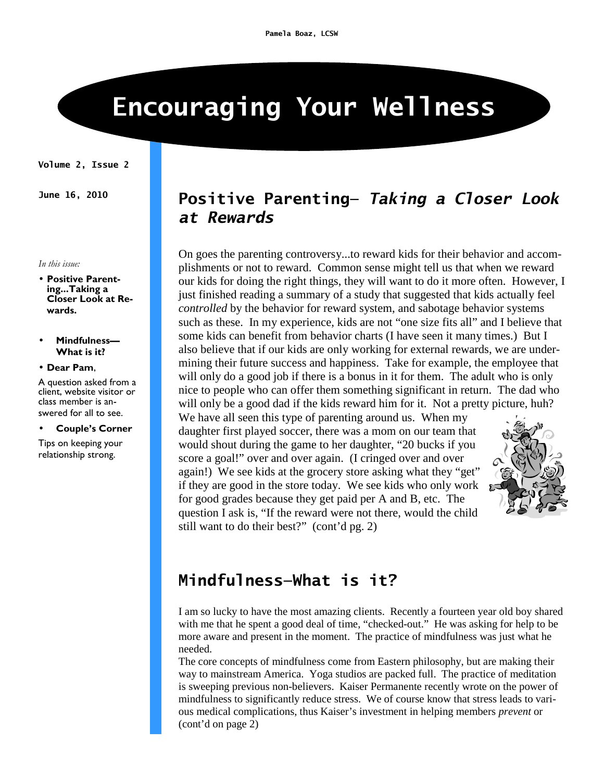# **Encouraging Your Wellness**

#### **Volume 2, Issue 2**

*In this issue:* 

- **Positive Parenting...Taking a Closer Look at Rewards.**
- **Mindfulness— What is it?**
- **Dear Pam**,

A question asked from a client, website visitor or class member is answered for all to see.

#### • **Couple's Corner**

Tips on keeping your relationship strong.

### **June 16, 2010 Positive Parenting—** *Taking a Closer Look at Rewards*

On goes the parenting controversy...to reward kids for their behavior and accomplishments or not to reward. Common sense might tell us that when we reward our kids for doing the right things, they will want to do it more often. However, I just finished reading a summary of a study that suggested that kids actually feel *controlled* by the behavior for reward system, and sabotage behavior systems such as these. In my experience, kids are not "one size fits all" and I believe that some kids can benefit from behavior charts (I have seen it many times.) But I also believe that if our kids are only working for external rewards, we are undermining their future success and happiness. Take for example, the employee that will only do a good job if there is a bonus in it for them. The adult who is only nice to people who can offer them something significant in return. The dad who will only be a good dad if the kids reward him for it. Not a pretty picture, huh?

We have all seen this type of parenting around us. When my daughter first played soccer, there was a mom on our team that would shout during the game to her daughter, "20 bucks if you score a goal!" over and over again. (I cringed over and over again!) We see kids at the grocery store asking what they "get" if they are good in the store today. We see kids who only work for good grades because they get paid per A and B, etc. The question I ask is, "If the reward were not there, would the child still want to do their best?" (cont'd pg. 2)



### **Mindfulness—What is it?**

I am so lucky to have the most amazing clients. Recently a fourteen year old boy shared with me that he spent a good deal of time, "checked-out." He was asking for help to be more aware and present in the moment. The practice of mindfulness was just what he needed.

The core concepts of mindfulness come from Eastern philosophy, but are making their way to mainstream America. Yoga studios are packed full. The practice of meditation is sweeping previous non-believers. Kaiser Permanente recently wrote on the power of mindfulness to significantly reduce stress. We of course know that stress leads to various medical complications, thus Kaiser's investment in helping members *prevent* or (cont'd on page 2)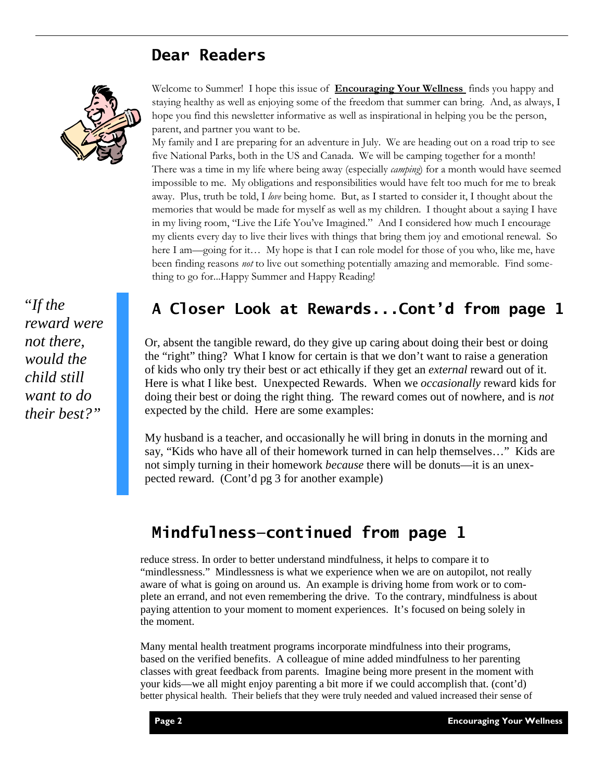### **Dear Readers**



"*If the reward were not there, would the child still want to do their best?"* 

#### Welcome to Summer! I hope this issue of **Encouraging Your Wellness** finds you happy and staying healthy as well as enjoying some of the freedom that summer can bring. And, as always, I hope you find this newsletter informative as well as inspirational in helping you be the person, parent, and partner you want to be.

My family and I are preparing for an adventure in July. We are heading out on a road trip to see five National Parks, both in the US and Canada. We will be camping together for a month! There was a time in my life where being away (especially *camping*) for a month would have seemed impossible to me. My obligations and responsibilities would have felt too much for me to break away. Plus, truth be told, I *love* being home. But, as I started to consider it, I thought about the memories that would be made for myself as well as my children. I thought about a saying I have in my living room, "Live the Life You've Imagined." And I considered how much I encourage my clients every day to live their lives with things that bring them joy and emotional renewal. So here I am—going for it… My hope is that I can role model for those of you who, like me, have been finding reasons *not* to live out something potentially amazing and memorable. Find something to go for...Happy Summer and Happy Reading!

## **A Closer Look at Rewards...Cont'd from page 1**

Or, absent the tangible reward, do they give up caring about doing their best or doing the "right" thing? What I know for certain is that we don't want to raise a generation of kids who only try their best or act ethically if they get an *external* reward out of it. Here is what I like best. Unexpected Rewards. When we *occasionally* reward kids for doing their best or doing the right thing. The reward comes out of nowhere, and is *not* expected by the child. Here are some examples:

My husband is a teacher, and occasionally he will bring in donuts in the morning and say, "Kids who have all of their homework turned in can help themselves…" Kids are not simply turning in their homework *because* there will be donuts—it is an unexpected reward. (Cont'd pg 3 for another example)

# **Mindfulness—continued from page 1**

reduce stress. In order to better understand mindfulness, it helps to compare it to "mindlessness." Mindlessness is what we experience when we are on autopilot, not really aware of what is going on around us. An example is driving home from work or to complete an errand, and not even remembering the drive. To the contrary, mindfulness is about paying attention to your moment to moment experiences. It's focused on being solely in the moment.

Many mental health treatment programs incorporate mindfulness into their programs, based on the verified benefits. A colleague of mine added mindfulness to her parenting classes with great feedback from parents. Imagine being more present in the moment with your kids—we all might enjoy parenting a bit more if we could accomplish that. (cont'd) better physical health. Their beliefs that they were truly needed and valued increased their sense of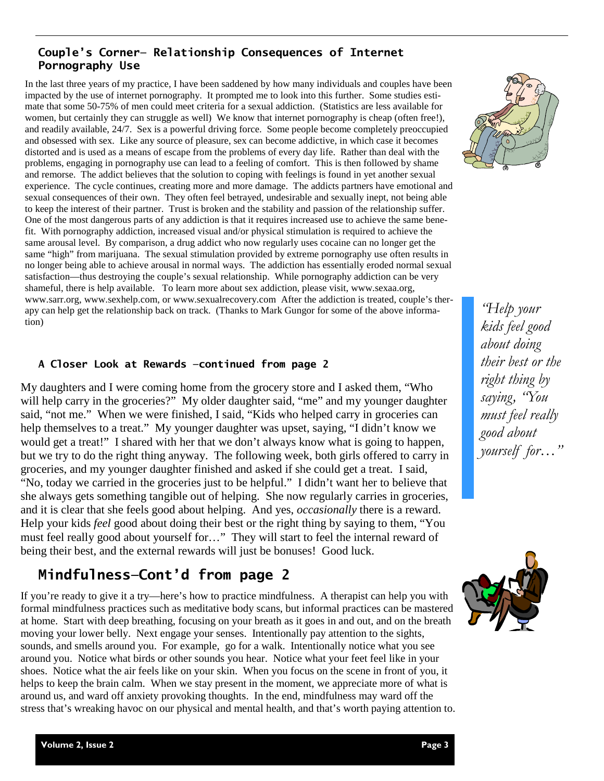#### **Couple's Corner— Relationship Consequences of Internet Pornography Use**

In the last three years of my practice, I have been saddened by how many individuals and couples have been impacted by the use of internet pornography. It prompted me to look into this further. Some studies estimate that some 50-75% of men could meet criteria for a sexual addiction. (Statistics are less available for women, but certainly they can struggle as well) We know that internet pornography is cheap (often free!), and readily available, 24/7. Sex is a powerful driving force. Some people become completely preoccupied and obsessed with sex. Like any source of pleasure, sex can become addictive, in which case it becomes distorted and is used as a means of escape from the problems of every day life. Rather than deal with the problems, engaging in pornography use can lead to a feeling of comfort. This is then followed by shame and remorse. The addict believes that the solution to coping with feelings is found in yet another sexual experience. The cycle continues, creating more and more damage. The addicts partners have emotional and sexual consequences of their own. They often feel betrayed, undesirable and sexually inept, not being able to keep the interest of their partner. Trust is broken and the stability and passion of the relationship suffer. One of the most dangerous parts of any addiction is that it requires increased use to achieve the same benefit. With pornography addiction, increased visual and/or physical stimulation is required to achieve the same arousal level. By comparison, a drug addict who now regularly uses cocaine can no longer get the same "high" from marijuana. The sexual stimulation provided by extreme pornography use often results in no longer being able to achieve arousal in normal ways. The addiction has essentially eroded normal sexual satisfaction—thus destroying the couple's sexual relationship. While pornography addiction can be very shameful, there is help available. To learn more about sex addiction, please visit, www.sexaa.org, www.sarr.org, www.sexhelp.com, or www.sexualrecovery.com After the addiction is treated, couple's therapy can help get the relationship back on track. (Thanks to Mark Gungor for some of the above information)

#### **A Closer Look at Rewards —continued from page 2**

My daughters and I were coming home from the grocery store and I asked them, "Who will help carry in the groceries?" My older daughter said, "me" and my younger daughter said, "not me." When we were finished, I said, "Kids who helped carry in groceries can help themselves to a treat." My younger daughter was upset, saying, "I didn't know we would get a treat!" I shared with her that we don't always know what is going to happen, but we try to do the right thing anyway. The following week, both girls offered to carry in groceries, and my younger daughter finished and asked if she could get a treat. I said, "No, today we carried in the groceries just to be helpful." I didn't want her to believe that she always gets something tangible out of helping. She now regularly carries in groceries, and it is clear that she feels good about helping. And yes, *occasionally* there is a reward. Help your kids *feel* good about doing their best or the right thing by saying to them, "You must feel really good about yourself for…" They will start to feel the internal reward of being their best, and the external rewards will just be bonuses! Good luck.

### **Mindfulness—Cont'd from page 2**

If you're ready to give it a try—here's how to practice mindfulness. A therapist can help you with formal mindfulness practices such as meditative body scans, but informal practices can be mastered at home. Start with deep breathing, focusing on your breath as it goes in and out, and on the breath moving your lower belly. Next engage your senses. Intentionally pay attention to the sights, sounds, and smells around you. For example, go for a walk. Intentionally notice what you see around you. Notice what birds or other sounds you hear. Notice what your feet feel like in your shoes. Notice what the air feels like on your skin. When you focus on the scene in front of you, it helps to keep the brain calm. When we stay present in the moment, we appreciate more of what is around us, and ward off anxiety provoking thoughts. In the end, mindfulness may ward off the stress that's wreaking havoc on our physical and mental health, and that's worth paying attention to.



*"Help your kids feel good about doing their best or the right thing by saying, "You must feel really good about yourself for…"*